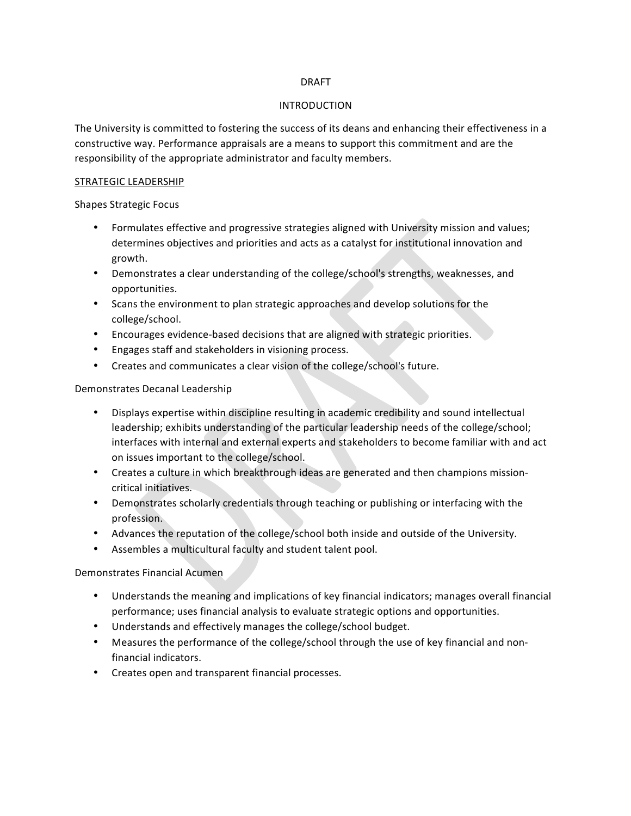# DRAFT

#### INTRODUCTION

The University is committed to fostering the success of its deans and enhancing their effectiveness in a constructive way. Performance appraisals are a means to support this commitment and are the responsibility of the appropriate administrator and faculty members.

#### STRATEGIC LEADERSHIP

Shapes Strategic Focus

- Formulates effective and progressive strategies aligned with University mission and values; determines objectives and priorities and acts as a catalyst for institutional innovation and growth.
- Demonstrates a clear understanding of the college/school's strengths, weaknesses, and opportunities.
- Scans the environment to plan strategic approaches and develop solutions for the college/school.
- Encourages evidence-based decisions that are aligned with strategic priorities.
- Engages staff and stakeholders in visioning process.
- Creates and communicates a clear vision of the college/school's future.

#### Demonstrates Decanal Leadership

- Displays expertise within discipline resulting in academic credibility and sound intellectual leadership; exhibits understanding of the particular leadership needs of the college/school; interfaces with internal and external experts and stakeholders to become familiar with and act on issues important to the college/school.
- Creates a culture in which breakthrough ideas are generated and then champions missioncritical initiatives.
- Demonstrates scholarly credentials through teaching or publishing or interfacing with the profession.
- Advances the reputation of the college/school both inside and outside of the University.
- Assembles a multicultural faculty and student talent pool.

# Demonstrates Financial Acumen

- Understands the meaning and implications of key financial indicators; manages overall financial performance; uses financial analysis to evaluate strategic options and opportunities.
- Understands and effectively manages the college/school budget.
- Measures the performance of the college/school through the use of key financial and nonfinancial indicators.
- Creates open and transparent financial processes.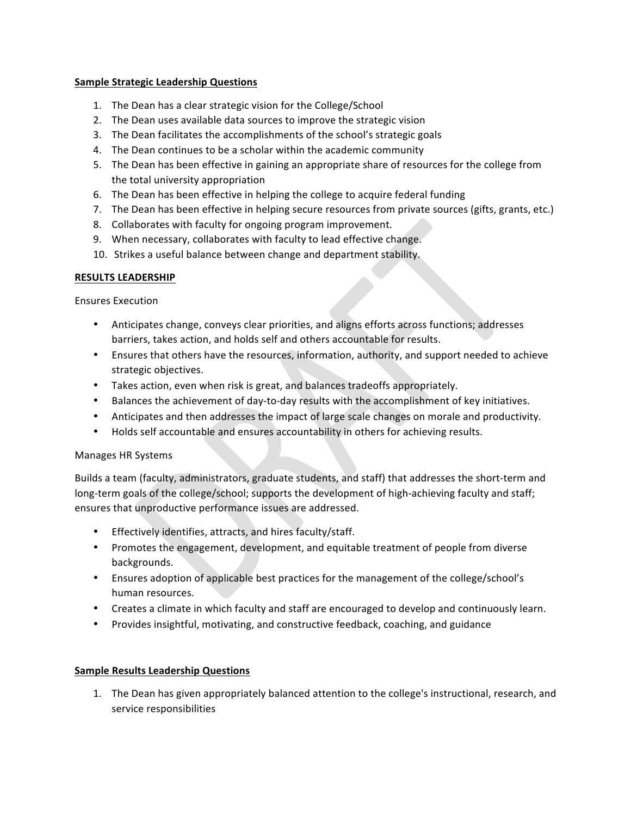# **Sample Strategic Leadership Questions**

- 1. The Dean has a clear strategic vision for the College/School
- 2. The Dean uses available data sources to improve the strategic vision
- 3. The Dean facilitates the accomplishments of the school's strategic goals
- 4. The Dean continues to be a scholar within the academic community
- 5. The Dean has been effective in gaining an appropriate share of resources for the college from the total university appropriation
- 6. The Dean has been effective in helping the college to acquire federal funding
- 7. The Dean has been effective in helping secure resources from private sources (gifts, grants, etc.)
- 8. Collaborates with faculty for ongoing program improvement.
- 9. When necessary, collaborates with faculty to lead effective change.
- 10. Strikes a useful balance between change and department stability.

# **RESULTS LEADERSHIP**

Ensures Execution

- Anticipates change, conveys clear priorities, and aligns efforts across functions; addresses barriers, takes action, and holds self and others accountable for results.
- Ensures that others have the resources, information, authority, and support needed to achieve strategic objectives.
- Takes action, even when risk is great, and balances tradeoffs appropriately.
- Balances the achievement of day-to-day results with the accomplishment of key initiatives.
- Anticipates and then addresses the impact of large scale changes on morale and productivity.
- Holds self accountable and ensures accountability in others for achieving results.

# Manages HR Systems

Builds a team (faculty, administrators, graduate students, and staff) that addresses the short-term and long-term goals of the college/school; supports the development of high-achieving faculty and staff; ensures that unproductive performance issues are addressed.

- Effectively identifies, attracts, and hires faculty/staff.
- Promotes the engagement, development, and equitable treatment of people from diverse backgrounds.
- Ensures adoption of applicable best practices for the management of the college/school's human resources.
- Creates a climate in which faculty and staff are encouraged to develop and continuously learn.
- Provides insightful, motivating, and constructive feedback, coaching, and guidance

# **Sample Results Leadership Questions**

1. The Dean has given appropriately balanced attention to the college's instructional, research, and service responsibilities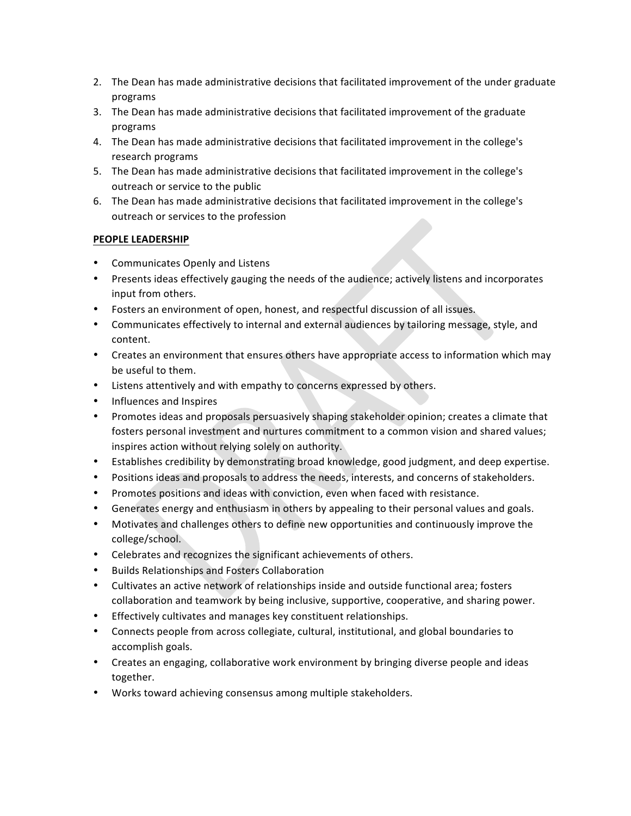- 2. The Dean has made administrative decisions that facilitated improvement of the under graduate programs
- 3. The Dean has made administrative decisions that facilitated improvement of the graduate programs
- 4. The Dean has made administrative decisions that facilitated improvement in the college's research programs
- 5. The Dean has made administrative decisions that facilitated improvement in the college's outreach or service to the public
- 6. The Dean has made administrative decisions that facilitated improvement in the college's outreach or services to the profession

# **PEOPLE LEADERSHIP**

- Communicates Openly and Listens
- Presents ideas effectively gauging the needs of the audience; actively listens and incorporates input from others.
- Fosters an environment of open, honest, and respectful discussion of all issues.
- Communicates effectively to internal and external audiences by tailoring message, style, and content.
- Creates an environment that ensures others have appropriate access to information which may be useful to them.
- Listens attentively and with empathy to concerns expressed by others.
- Influences and Inspires
- Promotes ideas and proposals persuasively shaping stakeholder opinion; creates a climate that fosters personal investment and nurtures commitment to a common vision and shared values; inspires action without relying solely on authority.
- Establishes credibility by demonstrating broad knowledge, good judgment, and deep expertise.
- Positions ideas and proposals to address the needs, interests, and concerns of stakeholders.
- Promotes positions and ideas with conviction, even when faced with resistance.
- Generates energy and enthusiasm in others by appealing to their personal values and goals.
- Motivates and challenges others to define new opportunities and continuously improve the college/school.
- Celebrates and recognizes the significant achievements of others.
- Builds Relationships and Fosters Collaboration
- Cultivates an active network of relationships inside and outside functional area; fosters collaboration and teamwork by being inclusive, supportive, cooperative, and sharing power.
- Effectively cultivates and manages key constituent relationships.
- Connects people from across collegiate, cultural, institutional, and global boundaries to accomplish goals.
- Creates an engaging, collaborative work environment by bringing diverse people and ideas together.
- Works toward achieving consensus among multiple stakeholders.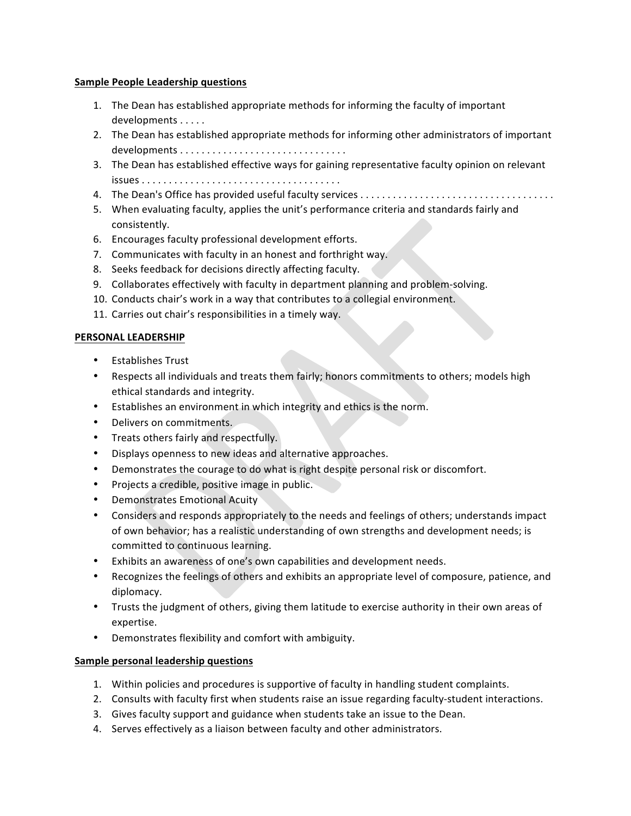# **Sample People Leadership questions**

- 1. The Dean has established appropriate methods for informing the faculty of important developments . . . . .
- 2. The Dean has established appropriate methods for informing other administrators of important developments . . . . . . . . . . . . . . . . . . . . . . . . . . . . . . .
- 3. The Dean has established effective ways for gaining representative faculty opinion on relevant  $i$ ssues  $\dots \dots \dots \dots \dots \dots \dots \dots \dots \dots \dots \dots \dots \dots \dots \dots \dots \dots$
- 4. The Dean's Office has provided useful faculty services . . . . . . . . . . . . . . . . . . . . . . . . . . . . . . . . . . . .
- 5. When evaluating faculty, applies the unit's performance criteria and standards fairly and consistently.
- 6. Encourages faculty professional development efforts.
- 7. Communicates with faculty in an honest and forthright way.
- 8. Seeks feedback for decisions directly affecting faculty.
- 9. Collaborates effectively with faculty in department planning and problem-solving.
- 10. Conducts chair's work in a way that contributes to a collegial environment.
- 11. Carries out chair's responsibilities in a timely way.

# **PERSONAL LEADERSHIP**

- Establishes Trust
- Respects all individuals and treats them fairly; honors commitments to others; models high ethical standards and integrity.
- Establishes an environment in which integrity and ethics is the norm.
- Delivers on commitments.
- Treats others fairly and respectfully.
- Displays openness to new ideas and alternative approaches.
- Demonstrates the courage to do what is right despite personal risk or discomfort.
- Projects a credible, positive image in public.
- Demonstrates Emotional Acuity
- Considers and responds appropriately to the needs and feelings of others; understands impact of own behavior; has a realistic understanding of own strengths and development needs; is committed to continuous learning.
- Exhibits an awareness of one's own capabilities and development needs.
- Recognizes the feelings of others and exhibits an appropriate level of composure, patience, and diplomacy.
- Trusts the judgment of others, giving them latitude to exercise authority in their own areas of expertise.
- Demonstrates flexibility and comfort with ambiguity.

# **Sample personal leadership questions**

- 1. Within policies and procedures is supportive of faculty in handling student complaints.
- 2. Consults with faculty first when students raise an issue regarding faculty-student interactions.
- 3. Gives faculty support and guidance when students take an issue to the Dean.
- 4. Serves effectively as a liaison between faculty and other administrators.